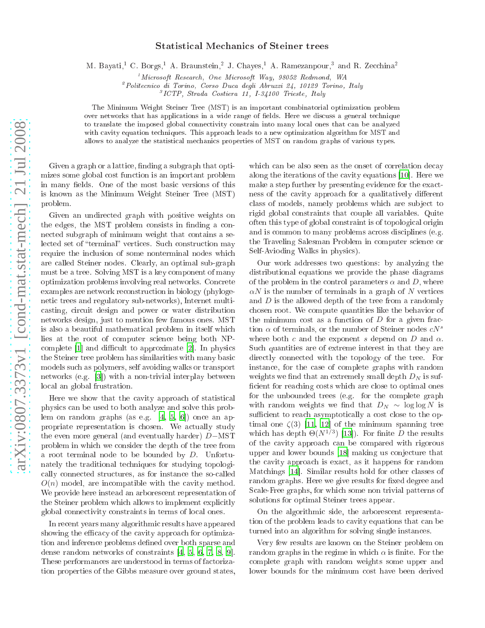## Statisti
al Me
hani
s of Steiner trees

M. Davati," C. Dorgs," A. Draunstein," J. Chaves," A. Ramezanpour," and R. Zecchina"

 $1$ Microsoft Research, One Microsoft Way, 98052 Redmond, WA

<sup>2</sup> Polite
ni
o di Torino, Corso Du
a degli Abruzzi 24, 10129 Torino, Italy

<sup>3</sup> ICTP, Strada Costiera 11, I-34100 Trieste, Italy

The Minimum Weight Steiner Tree (MST) is an important ombinatorial optimization problem over networks that has applications in a wide range of fields. Here we discuss a general technique to translate the imposed global onne
tivity onstrain into many lo
al ones that an be analyzed with cavity equation techniques. This approach leads to a new optimization algorithm for MST and allows to analyze the statisti
al me
hani
s properties of MST on random graphs of various types.

Given a graph or a lattice, finding a subgraph that optimizes some global ost fun
tion is an important problem in many fields. One of the most basic versions of this is known as the Minimum Weight Steiner Tree (MST) problem.

Given an undire
ted graph with positive weights on the edges, the MST problem consists in finding a connected subgraph of minimum weight that contains a selected set of "terminal" vertices. Such construction may require the in
lusion of some nonterminal nodes whi
h are alled Steiner nodes. Clearly, an optimal sub-graph must be a tree. Solving MST is a key omponent of many optimization problems involving real networks. Con
rete examples are network re
onstru
tion in biology (phylogeneti trees and regulatory sub-networks), Internet multi asting, ir
uit design and power or water distribution networks design, just to mention few famous ones. MST is also a beautiful mathemati
al problem in itself whi
h lies at the root of computer science being both NPcomplete  $[1]$  $[1]$  and difficult to approximate  $[2]$ . In physics the Steiner tree problem has similarities with many basi models su
h as polymers, self avoiding walks or transport networks (e.g.  $[3]$  $[3]$ ) with a non-trivial interplay between lo
al an global frustration.

Here we show that the cavity approach of statistical physi
s an be used to both analyze and solve this problem on random graphs (as e.g.  $[4, 5, 6]$  $[4, 5, 6]$  $[4, 5, 6]$  $[4, 5, 6]$ ) once an appropriate representation is chosen. We actually study the even more general (and eventually harder) D−MST problem in whi
h we onsider the depth of the tree from a root terminal node to be bounded by D. Unfortunately the traditional te
hniques for studying topologi ally onne
ted stru
tures, as for instan
e the soalled  $O(n)$  model, are incompatible with the cavity method. We provide here instead an arbores
ent representation of the Steiner problem which allows to implement explicitly global onne
tivity onstraints in terms of lo
al ones.

In recent years many algorithmic results have appeared showing the efficacy of the cavity approach for optimization and inference problems defined over both sparse and dense random networks of constraints  $[4, 5, 6, 7, 8, 9]$  $[4, 5, 6, 7, 8, 9]$  $[4, 5, 6, 7, 8, 9]$  $[4, 5, 6, 7, 8, 9]$  $[4, 5, 6, 7, 8, 9]$  $[4, 5, 6, 7, 8, 9]$  $[4, 5, 6, 7, 8, 9]$  $[4, 5, 6, 7, 8, 9]$  $[4, 5, 6, 7, 8, 9]$  $[4, 5, 6, 7, 8, 9]$ . These performances are understood in terms of factorization properties of the Gibbs measure over ground states, which can be also seen as the onset of correlation decay along the iterations of the cavity equations  $[10]$ . Here we make a step further by presenting evidence for the exactness of the cavity approach for a qualitatively different class of models, namely problems which are subject to rigid global onstraints that ouple all variables. Quite often this type of global onstraint is of topologi
al origin and is common to many problems across disciplines (e.g. the Traveling Salesman Problem in omputer s
ien
e or Self-Avioding Walks in physi
s).

Our work addresses two questions: by analyzing the distributional equations we provide the phase diagrams of the problem in the control parameters  $\alpha$  and D, where  $\alpha N$  is the number of terminals in a graph of N vertices and  $D$  is the allowed depth of the tree from a randomly hosen root. We ompute quantities like the behavior of the minimum cost as a function of  $D$  for a given fraction  $\alpha$  of terminals, or the number of Steiner nodes  $cN^s$ where both c and the exponent s depend on  $D$  and  $\alpha$ . Su
h quantities are of extreme interest in that they are directly connected with the topology of the tree. For instan
e, for the ase of omplete graphs with random weights we find that an extremely small depth  $D<sub>N</sub>$  is sufficient for reaching costs which are close to optimal ones for the unbounded trees (e.g. for the omplete graph with random weights we find that  $D_N \sim \log \log N$  is sufficient to reach asymptotically a cost close to the optimal one  $\zeta(3)$  [\[11,](#page-3-10) [12](#page-3-11)] of the minimum spanning tree which has depth  $\Theta(N^{1/3})$  [13]). For finite D the results of the avity approa
h an be ompared with rigorous upper and lower bounds [\[18](#page-3-13)] making us conjecture that the avity approa
h is exa
t, as it happens for random Matchings [14]. Similar results hold for other classes of random graphs. Here we give results for fixed degree and S
ale-Free graphs, for whi
h some non trivial patterns of solutions for optimal Steiner trees appear.

On the algorithmic side, the arborescent representation of the problem leads to cavity equations that can be turned into an algorithm for solving single instan
es.

Very few results are known on the Steiner problem on random graphs in the regime in which  $\alpha$  is finite. For the omplete graph with random weights some upper and lower bounds for the minimum cost have been derived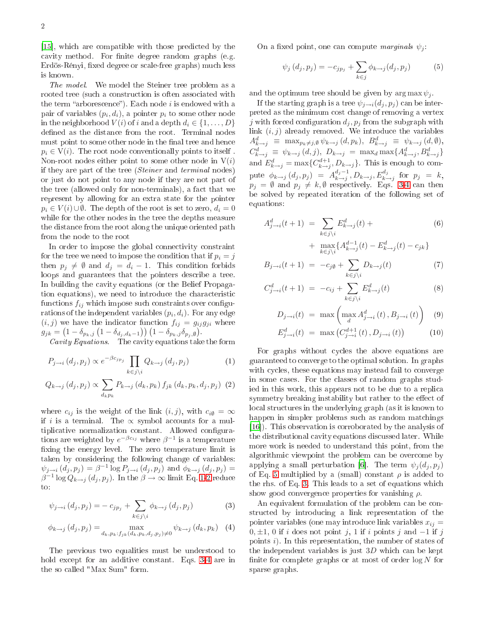[15], which are compatible with those predicted by the cavity method. For finite degree random graphs (e.g. Erdös-Rényi, fixed degree or scale-free graphs) much less is known.

The model the model the model the Steiner tree problem as a stellar tree problem as a stellar tree problem as a rooted tree (such a construction is often associated with the term "arborescence"). Each node  $i$  is endowed with a pair of variables  $(p_i, d_i)$ , a pointer  $p_i$  to some other node in the neighborhood  $V(i)$  of i and a depth  $d_i \in \{1, \ldots, D\}$ defined as the distance from the root. Terminal nodes must point to some other node in the final tree and hence  $p_i \in V(i)$ . The root node conventionally points to itself. Non-root nodes either point to some other node in  $V(i)$ if they are part of the tree (Steiner and terminal nodes) or just do not point to any node if they are not part of the tree (allowed only for non-terminals), a fact that we represent by allowing for an extra state for the pointer  $p_i \in V(i) \cup \emptyset$ . The depth of the root is set to zero,  $d_i = 0$ while for the other nodes in the tree the depths measure the distan
e from the root along the unique oriented path from the node to the root

In order to impose the global connectivity constraint for the tree we need to impose the condition that if  $p_i = j$ then  $p_j \neq \emptyset$  and  $d_j = d_i - 1$ . This condition forbids loops and guarantees that the pointers describe a tree. In building the avity equations (or the Belief Propagation equations), we need to introduce the characteristic functions  $f_{ij}$  which impose such constraints over configurations of the independent variables  $(p_i, d_i)$ . For any edge  $(i, j)$  we have the indicator function  $f_{ij} = g_{ij}g_{ji}$  where  $g_{jk} = (1 - \delta_{p_k,j} (1 - \delta_{d_j,d_k-1})) (1 - \delta_{p_k,j} \delta_{p_j,\emptyset}).$ 

coving equations that the form of the form the form the form the form

$$
P_{j \to i} (d_j, p_j) \propto e^{-\beta c_{jp_j}} \prod_{k \in j \setminus i} Q_{k \to j} (d_j, p_j)
$$
 (1)

$$
Q_{k\to j}\left(d_j, p_j\right) \propto \sum_{d_k p_k} P_{k\to j}\left(d_k, p_k\right) f_{jk}\left(d_k, p_k, d_j, p_j\right) \tag{2}
$$

where  $c_{ij}$  is the weight of the link  $(i, j)$ , with  $c_{i\emptyset} = \infty$ if i is a terminal. The  $\propto$  symbol accounts for a multiplicative normalization constant. Allowed configurations are weighted by  $e^{-\beta c_{ij}}$  where  $\beta^{-1}$  is a temperature xing the energy level. The zero temperature limit is taken by onsidering the following hange of variables:  $\psi_{j \to i} (d_j, p_j) = \beta^{-1} \log P_{j \to i} (d_j, p_j)$  and  $\phi_{k \to j} (d_j, p_j) =$  $\beta^{-1} \log Q_{k\rightarrow j}\left(d_{j}, p_{j}\right)$ . In the  $\beta \rightarrow \infty$  limit Eq. [1-](#page-1-0)[2](#page-1-1) reduce  $\text{to}:$ 

$$
\psi_{j \to i} (d_j, p_j) = - c_{j p_j} + \sum_{k \in j \setminus i} \phi_{k \to j} (d_j, p_j) \tag{3}
$$

$$
\phi_{k \to j} (d_j, p_j) = \max_{d_k, p_k: f_{jk} (d_k, p_k, d_j, p_j) \neq 0} \psi_{k \to j} (d_k, p_k) \quad (4)
$$

The previous two equalities must be understood to hold except for an additive constant. Eqs. [3-](#page-1-2)[4](#page-1-3) are in the so called "Max Sum" form.

On a fixed point, one can compute *marginals*  $\psi_i$ :

<span id="page-1-4"></span>
$$
\psi_j (d_j, p_j) = -c_{jp_j} + \sum_{k \in j} \phi_{k \to j} (d_j, p_j)
$$
 (5)

and the optimum tree should be given by  $\arg \max \psi_i$ .

If the starting graph is a tree  $\psi_{i\rightarrow i}(d_i, p_i)$  can be interpreted as the minimum ost hange of removing a vertex j with forced configuration  $d_j, p_j$  from the subgraph with link  $(i, j)$  already removed. We introduce the variables  $A_{k\rightarrow j}^d \equiv \max_{p_k\neq j, \emptyset} \psi_{k\rightarrow j} (d, p_k), B_{k\rightarrow j}^d \equiv \psi_{k\rightarrow j} (d, \emptyset),$  $C_{k\to j}^d \equiv \psi_{k\to j}(d, j), \ D_{k\to j} = \max_d \max\{A_{k\to j}^d, B_{k\to j}^d\}$ and  $E_{k\rightarrow j}^{d} = \max\{C_{k\rightarrow j}^{d+1}, D_{k\rightarrow j}\}\.$  This is enough to compute  $\phi_{k\rightarrow j}$   $(d_j, p_j)$  =  $A^{d_j-1}_{k\rightarrow j}$  $k \to j$ ,  $D_{k \to j}$ ,  $E_{k \to j}^{d_j}$  for  $p_j = k$ ,  $p_j = \emptyset$  and  $p_j \neq k, \emptyset$  respectively. Eqs. [3-](#page-1-2)[4](#page-1-3) can then be solved by repeated iteration of the following set of equations:

<span id="page-1-5"></span>
$$
A_{j \to i}^d(t+1) \ = \ \sum_{k \in j \backslash i} E_{k \to j}^d(t) \ + \tag{6}
$$

+ 
$$
\max_{k \in j \setminus i} \{ A_{k \to j}^{d-1}(t) - E_{k \to j}^d(t) - c_{jk} \}
$$

$$
B_{j \to i}(t+1) = -c_{j\emptyset} + \sum_{k \in j \backslash i} D_{k \to j}(t) \tag{7}
$$

$$
C_{j \to i}^d(t+1) = -c_{ij} + \sum_{k \in j \setminus i} E_{k \to j}^d(t)
$$
 (8)

$$
D_{j \to i}(t) = \max \left( \max_{d} A_{j \to i}^{d}(t), B_{j \to i}(t) \right) \quad (9)
$$

$$
E_{j \to i}^{d}(t) = \max \left( C_{j \to i}^{d+1}(t), D_{j \to i}(t) \right) \tag{10}
$$

<span id="page-1-1"></span><span id="page-1-0"></span>For graphs without cycles the above equations are guaranteed to onverge to the optimal solution. In graphs with cycles, these equations may instead fail to converge in some ases. For the lasses of random graphs studied in this work, this appears not to be due to a repli
a symmetry breaking instability but rather to the effect of local structures in the underlying graph (as it is known to happen in simpler problems su
h as random mat
hings [16]). This observation is corroborated by the analysis of the distributional avity equations dis
ussed later. While more work is needed to understand this point, from the algorithmi viewpoint the problem an be over
ome by applying a small perturbation [6]. The term  $\psi_j(d_j, p_j)$ of Eq. [5](#page-1-4) multiplied by a (small) constant  $\rho$  is added to the rhs. of Eq. [3.](#page-1-2) This leads to a set of equations whi
h show good convergence properties for vanishing  $\rho$ .

<span id="page-1-3"></span><span id="page-1-2"></span>An equivalent formulation of the problem can be constru
ted by introdu
ing a link representation of the pointer variables (one may introduce link variables  $x_{ij} =$  $0, \pm 1, 0$  if i does not point j, 1 if i points j and  $-1$  if j points i). In this representation, the number of states of the independent variables is just  $3D$  which can be kept finite for complete graphs or at most of order  $\log N$  for sparse graphs.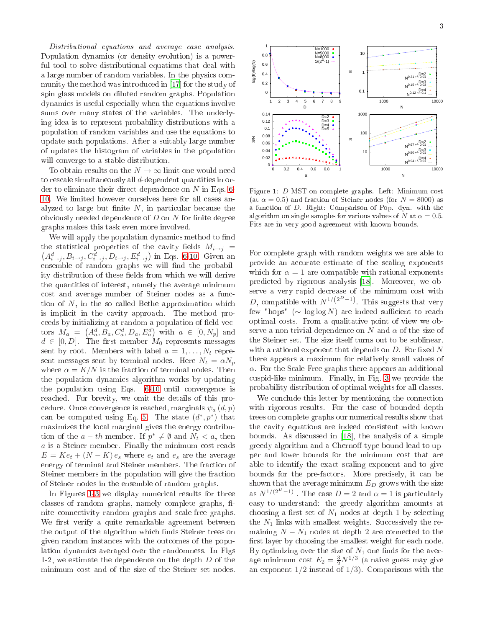Distributional equations and average ase analysis. Population dynami
s (or density evolution) is a powerful tool to solve distributional equations that deal with a large number of random variables. In the physics com-munity the method was introduced in [\[17](#page-3-17)] for the study of spin glass models on diluted random graphs. Population dynami
s is useful espe
ially when the equations involve sums over many states of the variables. The underlying idea is to represent probability distributions with a population of random variables and use the equations to update su
h populations. After a suitably large number of updates the histogram of variables in the population will onverge to a stable distribution.

To obtain results on the  $N\rightarrow\infty$  limit one would need to res
ale simultaneously all d-dependent quantities in order to eliminate their direct dependence on  $N$  in Eqs. [6-](#page-1-5) [10.](#page-1-5) We limited however ourselves here for all ases analyzed to large but finite  $N$ , in particular because the obviously needed dependence of  $D$  on  $N$  for finite degree graphs makes this task even more involved.

We will apply the population dynamics method to find the statistical properties of the cavity fields  $M_{i\rightarrow j}$  =  $(A_{i\rightarrow j}^d, B_{i\rightarrow j}, C_{i\rightarrow j}^d, D_{i\rightarrow j}, E_{i\rightarrow j}^d)$  in Eqs. [6-10.](#page-1-5) Given an ensemble of random graphs we will find the probability distribution of these fields from which we will derive the quantities of interest, namely the average minimum cost and average number of Steiner nodes as a function of  $N$ , in the so called Bethe approximation which is implicit in the cavity approach. The method proceeds by initializing at random a population of field vectors  $M_a = (A_a^d, B_a, C_a^d, D_a, E_a^d)$  with  $a \in [0, N_p]$  and  $d \in [0, D]$ . The first member  $M_0$  represents messages sent by root. Members with label  $a = 1, \ldots, N_t$  represent messages sent by terminal nodes. Here  $N_t = \alpha N_p$ where  $\alpha = K/N$  is the fraction of terminal nodes. Then the population dynami
s algorithm works by updating the population using Eqs. [6-10](#page-1-5) until onvergen
e is rea
hed. For brevity, we omit the details of this pro cedure. Once convergence is reached, marginals  $\psi_a(d, p)$ can be computed using Eq. [5.](#page-1-4) The state  $(d^*, p^*)$  that maximizes the lo
al marginal gives the energy ontribution of the  $a-th$  member. If  $p^* \neq \emptyset$  and  $N_t < a$ , then a is a Steiner member. Finally the minimum cost reads  $E = Ke_t + (N - K) e_s$  where  $e_t$  and  $e_s$  are the average energy of terminal and Steiner members. The fraction of Steiner members in the population will give the fraction of Steiner nodes in the ensemble of random graphs.

In Figures [1-](#page-2-0)[3](#page-3-18) we display numeri
al results for three classes of random graphs, namely complete graphs, finite onne
tivity random graphs and s
ale-free graphs. We first verify a quite remarkable agreement between the output of the algorithm which finds Steiner trees on given random instan
es with the out
omes of the population dynami
s averaged over the randomness. In Figs 1-2, we estimate the dependen
e on the depth D of the minimum ost and of the size of the Steiner set nodes.



<span id="page-2-0"></span>Figure 1: D-MST on complete graphs. Left: Minimum cost (at  $\alpha = 0.5$ ) and fraction of Steiner nodes (for  $N = 8000$ ) as a fun
tion of D. Right: Comparison of Pop. dyn. with the algorithm on single samples for various values of N at  $\alpha = 0.5$ . Fits are in very good agreement with known bounds.

For omplete graph with random weights we are able to provide an accurate estimate of the scaling exponents which for  $\alpha = 1$  are compatible with rational exponents predicted by rigorous analysis [\[18](#page-3-13)]. Moreover, we observe a very rapid decrease of the minimum cost with D, compatible with  $N^{1/(2^D-1)}$ . This suggests that very few "hops" ( $\sim \log \log N$ ) are indeed sufficient to reach optimal osts. From a qualitative point of view we observe a non trivial dependence on N and  $\alpha$  of the size of the Steiner set. The size itself turns out to be sublinear, with a rational exponent that depends on  $D$ . For fixed  $N$ there appears a maximum for relatively small values of  $\alpha$ . For the Scale-Free graphs there appears an additional uspid-like minimum. Finally, in Fig. [3](#page-3-18) we provide the probability distribution of optimal weights for all lasses.

We conclude this letter by mentioning the connection with rigorous results. For the case of bounded depth trees on omplete graphs our numeri
al results show that the avity equations are indeed onsistent with known bounds. As discussed in [\[18](#page-3-13)], the analysis of a simple greedy algorithm and a Chernoff-type bound lead to upper and lower bounds for the minimum ost that are able to identify the exa
t s
aling exponent and to give bounds for the pre-factors. More precisely, it can be shown that the average minimum  $E_D$  grows with the size as  $N^{1/(2^D-1)}$ . The case  $D=2$  and  $\alpha=1$  is particularly easy to understand: the greedy algorithm amounts at choosing a first set of  $N_1$  nodes at depth 1 by selecting the  $N_1$  links with smallest weights. Successively the remaining  $N - N_1$  nodes at depth 2 are connected to the first layer by choosing the smallest weight for each node. By optimizing over the size of  $N_1$  one finds for the average minimum cost  $E_2 = \frac{3}{2} N^{1/3}$  (a naive guess may give an exponent  $1/2$  instead of  $1/3$ ). Comparisons with the